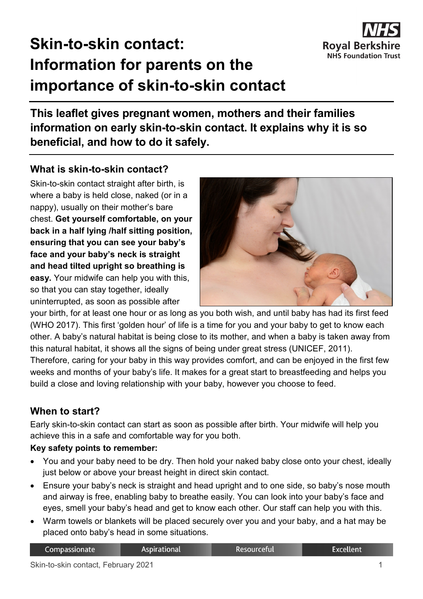

# **Skin-to-skin contact: Information for parents on the importance of skin-to-skin contact**

**This leaflet gives pregnant women, mothers and their families information on early skin-to-skin contact. It explains why it is so beneficial, and how to do it safely.**

### **What is skin-to-skin contact?**

Skin-to-skin contact straight after birth, is where a baby is held close, naked (or in a nappy), usually on their mother's bare chest. **Get yourself comfortable, on your back in a half lying /half sitting position, ensuring that you can see your baby's face and your baby's neck is straight and head tilted upright so breathing is easy.** Your midwife can help you with this, so that you can stay together, ideally uninterrupted, as soon as possible after



your birth, for at least one hour or as long as you both wish, and until baby has had its first feed (WHO 2017). This first 'golden hour' of life is a time for you and your baby to get to know each other. A baby's natural habitat is being close to its mother, and when a baby is taken away from this natural habitat, it shows all the signs of being under great stress (UNICEF, 2011). Therefore, caring for your baby in this way provides comfort, and can be enjoyed in the first few weeks and months of your baby's life. It makes for a great start to breastfeeding and helps you build a close and loving relationship with your baby, however you choose to feed.

# **When to start?**

Early skin-to-skin contact can start as soon as possible after birth. Your midwife will help you achieve this in a safe and comfortable way for you both.

#### **Key safety points to remember:**

- You and your baby need to be dry. Then hold your naked baby close onto your chest, ideally just below or above your breast height in direct skin contact.
- Ensure your baby's neck is straight and head upright and to one side, so baby's nose mouth and airway is free, enabling baby to breathe easily. You can look into your baby's face and eyes, smell your baby's head and get to know each other. Our staff can help you with this.
- Warm towels or blankets will be placed securely over you and your baby, and a hat may be placed onto baby's head in some situations.

| Compassionate | <b>Aspirational</b> | :Resourceful | <b>Excellent</b> |
|---------------|---------------------|--------------|------------------|
|---------------|---------------------|--------------|------------------|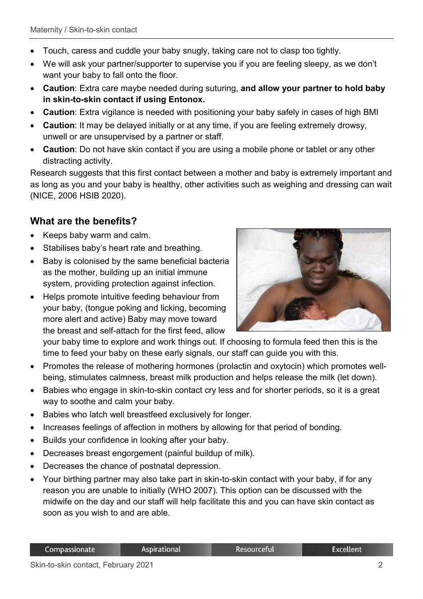- Touch, caress and cuddle your baby snugly, taking care not to clasp too tightly.
- We will ask your partner/supporter to supervise you if you are feeling sleepy, as we don't want your baby to fall onto the floor.
- **Caution**: Extra care maybe needed during suturing, **and allow your partner to hold baby in skin-to-skin contact if using Entonox.**
- **Caution**: Extra vigilance is needed with positioning your baby safely in cases of high BMI
- **Caution**: It may be delayed initially or at any time, if you are feeling extremely drowsy, unwell or are unsupervised by a partner or staff.
- **Caution**: Do not have skin contact if you are using a mobile phone or tablet or any other distracting activity.

Research suggests that this first contact between a mother and baby is extremely important and as long as you and your baby is healthy, other activities such as weighing and dressing can wait (NICE, 2006 HSIB 2020).

# **What are the benefits?**

- Keeps baby warm and calm.
- Stabilises baby's heart rate and breathing.
- Baby is colonised by the same beneficial bacteria as the mother, building up an initial immune system, providing protection against infection.
- Helps promote intuitive feeding behaviour from your baby, (tongue poking and licking, becoming more alert and active) Baby may move toward the breast and self-attach for the first feed, allow



your baby time to explore and work things out. If choosing to formula feed then this is the time to feed your baby on these early signals, our staff can guide you with this.

- Promotes the release of mothering hormones (prolactin and oxytocin) which promotes wellbeing, stimulates calmness, breast milk production and helps release the milk (let down).
- Babies who engage in skin-to-skin contact cry less and for shorter periods, so it is a great way to soothe and calm your baby.
- Babies who latch well breastfeed exclusively for longer.
- Increases feelings of affection in mothers by allowing for that period of bonding.
- Builds your confidence in looking after your baby.
- Decreases breast engorgement (painful buildup of milk).
- Decreases the chance of postnatal depression.
- Your birthing partner may also take part in skin-to-skin contact with your baby, if for any reason you are unable to initially (WHO 2007). This option can be discussed with the midwife on the day and our staff will help facilitate this and you can have skin contact as soon as you wish to and are able.

**Excellent**